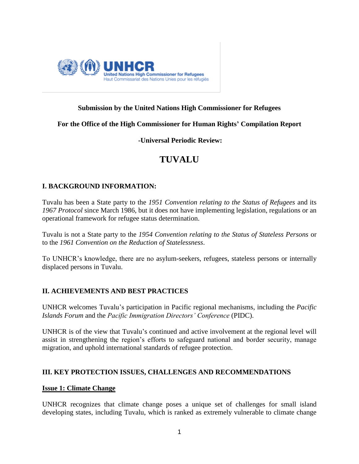

## **Submission by the United Nations High Commissioner for Refugees**

**For the Office of the High Commissioner for Human Rights' Compilation Report**

**-Universal Periodic Review:**

## **TUVALU**

## **I. BACKGROUND INFORMATION:**

Tuvalu has been a State party to the *1951 Convention relating to the Status of Refugees* and its *1967 Protocol* since March 1986, but it does not have implementing legislation, regulations or an operational framework for refugee status determination.

Tuvalu is not a State party to the *1954 Convention relating to the Status of Stateless Persons* or to the *1961 Convention on the Reduction of Statelessness*.

To UNHCR"s knowledge, there are no asylum-seekers, refugees, stateless persons or internally displaced persons in Tuvalu.

#### **II. ACHIEVEMENTS AND BEST PRACTICES**

UNHCR welcomes Tuvalu"s participation in Pacific regional mechanisms, including the *Pacific Islands Forum* and the *Pacific Immigration Directors' Conference* (PIDC).

UNHCR is of the view that Tuvalu"s continued and active involvement at the regional level will assist in strengthening the region"s efforts to safeguard national and border security, manage migration, and uphold international standards of refugee protection.

#### **III. KEY PROTECTION ISSUES, CHALLENGES AND RECOMMENDATIONS**

#### **Issue 1: Climate Change**

UNHCR recognizes that climate change poses a unique set of challenges for small island developing states, including Tuvalu, which is ranked as extremely vulnerable to climate change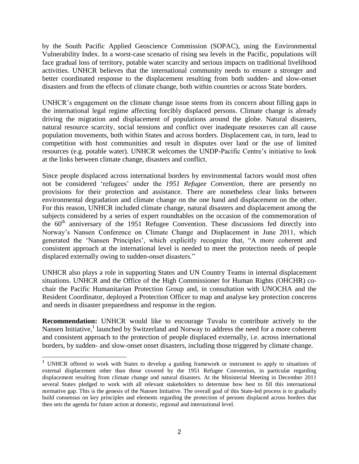by the South Pacific Applied Geoscience Commission (SOPAC), using the Environmental Vulnerability Index. In a worst-case scenario of rising sea levels in the Pacific, populations will face gradual loss of territory, potable water scarcity and serious impacts on traditional livelihood activities. UNHCR believes that the international community needs to ensure a stronger and better coordinated response to the displacement resulting from both sudden- and slow-onset disasters and from the effects of climate change, both within countries or across State borders.

UNHCR"s engagement on the climate change issue stems from its concern about filling gaps in the international legal regime affecting forcibly displaced persons. Climate change is already driving the migration and displacement of populations around the globe. Natural disasters, natural resource scarcity, social tensions and conflict over inadequate resources can all cause population movements, both within States and across borders. Displacement can, in turn, lead to competition with host communities and result in disputes over land or the use of limited resources (e.g. potable water). UNHCR welcomes the UNDP-Pacific Centre"s initiative to look at the links between climate change, disasters and conflict.

Since people displaced across international borders by environmental factors would most often not be considered "refugees" under the *1951 Refugee Convention*, there are presently no provisions for their protection and assistance. There are nonetheless clear links between environmental degradation and climate change on the one hand and displacement on the other. For this reason, UNHCR included climate change, natural disasters and displacement among the subjects considered by a series of expert roundtables on the occasion of the commemoration of the  $60<sup>th</sup>$  anniversary of the 1951 Refugee Convention. These discussions fed directly into Norway"s Nansen Conference on Climate Change and Displacement in June 2011, which generated the "Nansen Principles", which explicitly recognize that, "A more coherent and consistent approach at the international level is needed to meet the protection needs of people displaced externally owing to sudden-onset disasters."

UNHCR also plays a role in supporting States and UN Country Teams in internal displacement situations. UNHCR and the Office of the High Commissioner for Human Rights (OHCHR) cochair the Pacific Humanitarian Protection Group and, in consultation with UNOCHA and the Resident Coordinator, deployed a Protection Officer to map and analyse key protection concerns and needs in disaster preparedness and response in the region.

**Recommendation:** UNHCR would like to encourage Tuvalu to contribute actively to the Nansen Initiative,<sup>1</sup> launched by Switzerland and Norway to address the need for a more coherent and consistent approach to the protection of people displaced externally, i.e. across international borders, by sudden- and slow-onset onset disasters, including those triggered by climate change.

<sup>&</sup>lt;sup>1</sup> UNHCR offered to work with States to develop a guiding framework or instrument to apply to situations of external displacement other than those covered by the 1951 Refugee Convention, in particular regarding displacement resulting from climate change and natural disasters. At the Ministerial Meeting in December 2011 several States pledged to work with all relevant stakeholders to determine how best to fill this international normative gap. This is the genesis of the Nansen Initiative. The overall goal of this State-led process is to gradually build consensus on key principles and elements regarding the protection of persons displaced across borders that then sets the agenda for future action at domestic, regional and international level.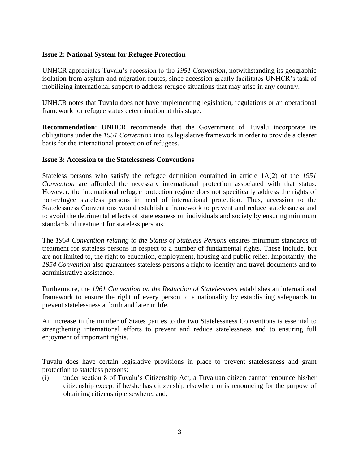## **Issue 2: National System for Refugee Protection**

UNHCR appreciates Tuvalu"s accession to the *1951 Convention*, notwithstanding its geographic isolation from asylum and migration routes, since accession greatly facilitates UNHCR"s task of mobilizing international support to address refugee situations that may arise in any country.

UNHCR notes that Tuvalu does not have implementing legislation, regulations or an operational framework for refugee status determination at this stage.

**Recommendation**: UNHCR recommends that the Government of Tuvalu incorporate its obligations under the *1951 Convention* into its legislative framework in order to provide a clearer basis for the international protection of refugees.

## **Issue 3: Accession to the Statelessness Conventions**

Stateless persons who satisfy the refugee definition contained in article 1A(2) of the *1951 Convention* are afforded the necessary international protection associated with that status. However, the international refugee protection regime does not specifically address the rights of non-refugee stateless persons in need of international protection. Thus, accession to the Statelessness Conventions would establish a framework to prevent and reduce statelessness and to avoid the detrimental effects of statelessness on individuals and society by ensuring minimum standards of treatment for stateless persons.

The *1954 Convention relating to the Status of Stateless Persons* ensures minimum standards of treatment for stateless persons in respect to a number of fundamental rights. These include, but are not limited to, the right to education, employment, housing and public relief. Importantly, the *1954 Convention* also guarantees stateless persons a right to identity and travel documents and to administrative assistance.

Furthermore, the *1961 Convention on the Reduction of Statelessness* establishes an international framework to ensure the right of every person to a nationality by establishing safeguards to prevent statelessness at birth and later in life.

An increase in the number of States parties to the two Statelessness Conventions is essential to strengthening international efforts to prevent and reduce statelessness and to ensuring full enjoyment of important rights.

Tuvalu does have certain legislative provisions in place to prevent statelessness and grant protection to stateless persons:

(i) under section 8 of Tuvalu"s Citizenship Act, a Tuvaluan citizen cannot renounce his/her citizenship except if he/she has citizenship elsewhere or is renouncing for the purpose of obtaining citizenship elsewhere; and,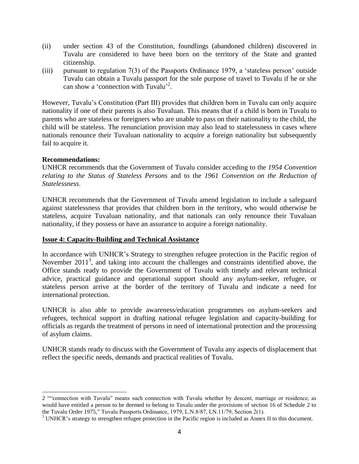- (ii) under section 43 of the Constitution, foundlings (abandoned children) discovered in Tuvalu are considered to have been born on the territory of the State and granted citizenship.
- (iii) pursuant to regulation 7(3) of the Passports Ordinance 1979, a "stateless person" outside Tuvalu can obtain a Tuvalu passport for the sole purpose of travel to Tuvalu if he or she can show a 'connection with Tuvalu'<sup>2</sup>.

However, Tuvalu"s Constitution (Part III) provides that children born in Tuvalu can only acquire nationality if one of their parents is also Tuvaluan. This means that if a child is born in Tuvalu to parents who are stateless or foreigners who are unable to pass on their nationality to the child, the child will be stateless. The renunciation provision may also lead to statelessness in cases where nationals renounce their Tuvaluan nationality to acquire a foreign nationality but subsequently fail to acquire it.

## **Recommendations:**

UNHCR recommends that the Government of Tuvalu consider acceding to the *1954 Convention relating to the Status of Stateless Persons* and to the *1961 Convention on the Reduction of Statelessness*.

UNHCR recommends that the Government of Tuvalu amend legislation to include a safeguard against statelessness that provides that children born in the territory, who would otherwise be stateless, acquire Tuvaluan nationality, and that nationals can only renounce their Tuvaluan nationality, if they possess or have an assurance to acquire a foreign nationality.

#### **Issue 4: Capacity-Building and Technical Assistance**

In accordance with UNHCR"s Strategy to strengthen refugee protection in the Pacific region of November 2011<sup>3</sup>, and taking into account the challenges and constraints identified above, the Office stands ready to provide the Government of Tuvalu with timely and relevant technical advice, practical guidance and operational support should any asylum-seeker, refugee, or stateless person arrive at the border of the territory of Tuvalu and indicate a need for international protection.

UNHCR is also able to provide awareness/education programmes on asylum-seekers and refugees, technical support in drafting national refugee legislation and capacity-building for officials as regards the treatment of persons in need of international protection and the processing of asylum claims.

UNHCR stands ready to discuss with the Government of Tuvalu any aspects of displacement that reflect the specific needs, demands and practical realities of Tuvalu.

<sup>2</sup> ""connection with Tuvalu" means such connection with Tuvalu whether by descent, marriage or residence, as would have entitled a person to be deemed to belong to Tuvalu under the provisions of section 16 of Schedule 2 to the Tuvalu Order 1975," Tuvalu Passports Ordinance, 1979, L.N.8/87, LN.11/79, Section 2(1).

<sup>&</sup>lt;sup>3</sup> UNHCR's strategy to strengthen refugee protection in the Pacific region is included as Annex II to this document.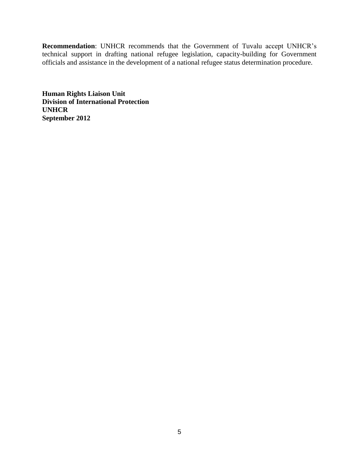**Recommendation**: UNHCR recommends that the Government of Tuvalu accept UNHCR"s technical support in drafting national refugee legislation, capacity-building for Government officials and assistance in the development of a national refugee status determination procedure.

**Human Rights Liaison Unit Division of International Protection UNHCR September 2012**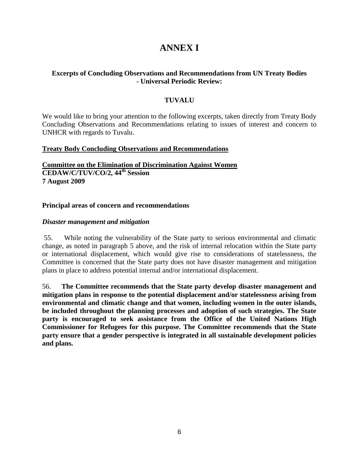# **ANNEX I**

## **Excerpts of Concluding Observations and Recommendations from UN Treaty Bodies - Universal Periodic Review:**

## **TUVALU**

We would like to bring your attention to the following excerpts, taken directly from Treaty Body Concluding Observations and Recommendations relating to issues of interest and concern to UNHCR with regards to Tuvalu.

#### **Treaty Body Concluding Observations and Recommendations**

**Committee on the Elimination of Discrimination Against Women CEDAW/C/TUV/CO/2, 44th Session 7 August 2009**

#### **Principal areas of concern and recommendations**

#### *Disaster management and mitigation*

55. While noting the vulnerability of the State party to serious environmental and climatic change, as noted in paragraph 5 above, and the risk of internal relocation within the State party or international displacement, which would give rise to considerations of statelessness, the Committee is concerned that the State party does not have disaster management and mitigation plans in place to address potential internal and/or international displacement.

56. **The Committee recommends that the State party develop disaster management and mitigation plans in response to the potential displacement and/or statelessness arising from environmental and climatic change and that women, including women in the outer islands, be included throughout the planning processes and adoption of such strategies. The State party is encouraged to seek assistance from the Office of the United Nations High Commissioner for Refugees for this purpose. The Committee recommends that the State party ensure that a gender perspective is integrated in all sustainable development policies and plans.**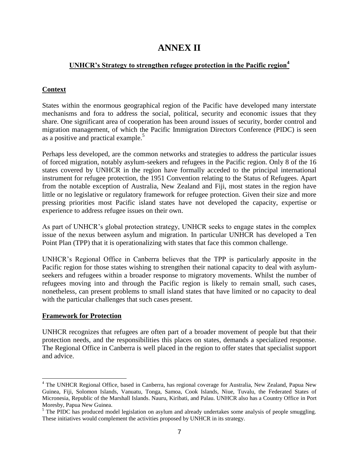## **ANNEX II**

## **UNHCR's Strategy to strengthen refugee protection in the Pacific region<sup>4</sup>**

## **Context**

States within the enormous geographical region of the Pacific have developed many interstate mechanisms and fora to address the social, political, security and economic issues that they share. One significant area of cooperation has been around issues of security, border control and migration management, of which the Pacific Immigration Directors Conference (PIDC) is seen as a positive and practical example.<sup>5</sup>

Perhaps less developed, are the common networks and strategies to address the particular issues of forced migration, notably asylum-seekers and refugees in the Pacific region. Only 8 of the 16 states covered by UNHCR in the region have formally acceded to the principal international instrument for refugee protection, the 1951 Convention relating to the Status of Refugees. Apart from the notable exception of Australia, New Zealand and Fiji, most states in the region have little or no legislative or regulatory framework for refugee protection. Given their size and more pressing priorities most Pacific island states have not developed the capacity, expertise or experience to address refugee issues on their own.

As part of UNHCR's global protection strategy, UNHCR seeks to engage states in the complex issue of the nexus between asylum and migration. In particular UNHCR has developed a Ten Point Plan (TPP) that it is operationalizing with states that face this common challenge.

UNHCR"s Regional Office in Canberra believes that the TPP is particularly apposite in the Pacific region for those states wishing to strengthen their national capacity to deal with asylumseekers and refugees within a broader response to migratory movements. Whilst the number of refugees moving into and through the Pacific region is likely to remain small, such cases, nonetheless, can present problems to small island states that have limited or no capacity to deal with the particular challenges that such cases present.

## **Framework for Protection**

 $\overline{a}$ 

UNHCR recognizes that refugees are often part of a broader movement of people but that their protection needs, and the responsibilities this places on states, demands a specialized response. The Regional Office in Canberra is well placed in the region to offer states that specialist support and advice.

<sup>&</sup>lt;sup>4</sup> The UNHCR Regional Office, based in Canberra, has regional coverage for Australia, New Zealand, Papua New Guinea, Fiji, Solomon Islands, Vanuatu, Tonga, Samoa, Cook Islands, Niue, Tuvalu, the Federated States of Micronesia, Republic of the Marshall Islands. Nauru, Kiribati, and Palau. UNHCR also has a Country Office in Port Moresby, Papua New Guinea.

<sup>&</sup>lt;sup>5</sup> The PIDC has produced model legislation on asylum and already undertakes some analysis of people smuggling. These initiatives would complement the activities proposed by UNHCR in its strategy.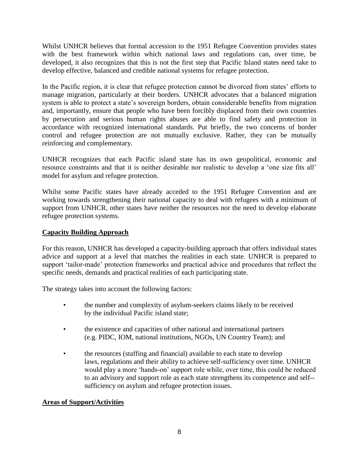Whilst UNHCR believes that formal accession to the 1951 Refugee Convention provides states with the best framework within which national laws and regulations can, over time, be developed, it also recognizes that this is not the first step that Pacific Island states need take to develop effective, balanced and credible national systems for refugee protection.

In the Pacific region, it is clear that refugee protection cannot be divorced from states' efforts to manage migration, particularly at their borders. UNHCR advocates that a balanced migration system is able to protect a state's sovereign borders, obtain considerable benefits from migration and, importantly, ensure that people who have been forcibly displaced from their own countries by persecution and serious human rights abuses are able to find safety and protection in accordance with recognized international standards. Put briefly, the two concerns of border control and refugee protection are not mutually exclusive. Rather, they can be mutually reinforcing and complementary.

UNHCR recognizes that each Pacific island state has its own geopolitical, economic and resource constraints and that it is neither desirable nor realistic to develop a "one size fits all" model for asylum and refugee protection.

Whilst some Pacific states have already acceded to the 1951 Refugee Convention and are working towards strengthening their national capacity to deal with refugees with a minimum of support from UNHCR, other states have neither the resources nor the need to develop elaborate refugee protection systems.

## **Capacity Building Approach**

For this reason, UNHCR has developed a capacity-building approach that offers individual states advice and support at a level that matches the realities in each state. UNHCR is prepared to support "tailor-made" protection frameworks and practical advice and procedures that reflect the specific needs, demands and practical realities of each participating state.

The strategy takes into account the following factors:

- the number and complexity of asylum-seekers claims likely to be received by the individual Pacific island state;
- the existence and capacities of other national and international partners (e.g. PIDC, IOM, national institutions, NGOs, UN Country Team); and
- the resources (staffing and financial) available to each state to develop laws, regulations and their ability to achieve self-sufficiency over time. UNHCR would play a more "hands-on" support role while, over time, this could be reduced to an advisory and support role as each state strengthens its competence and self- sufficiency on asylum and refugee protection issues.

#### **Areas of Support/Activities**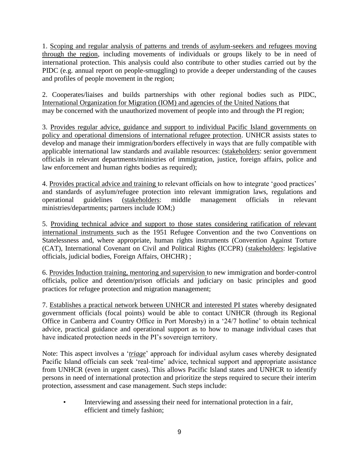1. Scoping and regular analysis of patterns and trends of asylum-seekers and refugees moving through the region, including movements of individuals or groups likely to be in need of international protection. This analysis could also contribute to other studies carried out by the PIDC (e.g. annual report on people-smuggling) to provide a deeper understanding of the causes and profiles of people movement in the region;

2. Cooperates/liaises and builds partnerships with other regional bodies such as PIDC, International Organization for Migration (IOM) and agencies of the United Nations that may be concerned with the unauthorized movement of people into and through the PI region;

3. Provides regular advice, guidance and support to individual Pacific Island governments on policy and operational dimensions of international refugee protection. UNHCR assists states to develop and manage their immigration/borders effectively in ways that are fully compatible with applicable international law standards and available resources: (stakeholders: senior government officials in relevant departments/ministries of immigration, justice, foreign affairs, police and law enforcement and human rights bodies as required);

4. Provides practical advice and training to relevant officials on how to integrate "good practices" and standards of asylum/refugee protection into relevant immigration laws, regulations and operational guidelines (stakeholders: middle management officials in relevant ministries/departments; partners include IOM;)

5. Providing technical advice and support to those states considering ratification of relevant international instruments such as the 1951 Refugee Convention and the two Conventions on Statelessness and, where appropriate, human rights instruments (Convention Against Torture (CAT), International Covenant on Civil and Political Rights (ICCPR) (stakeholders: legislative officials, judicial bodies, Foreign Affairs, OHCHR) ;

6. Provides Induction training, mentoring and supervision to new immigration and border-control officials, police and detention/prison officials and judiciary on basic principles and good practices for refugee protection and migration management;

7. Establishes a practical network between UNHCR and interested PI states whereby designated government officials (focal points) would be able to contact UNHCR (through its Regional Office in Canberra and Country Office in Port Moresby) in a "24/7 hotline" to obtain technical advice, practical guidance and operational support as to how to manage individual cases that have indicated protection needs in the PI's sovereign territory.

Note: This aspect involves a "*triage*" approach for individual asylum cases whereby designated Pacific Island officials can seek 'real-time' advice, technical support and appropriate assistance from UNHCR (even in urgent cases). This allows Pacific Island states and UNHCR to identify persons in need of international protection and prioritize the steps required to secure their interim protection, assessment and case management. Such steps include:

Interviewing and assessing their need for international protection in a fair, efficient and timely fashion;